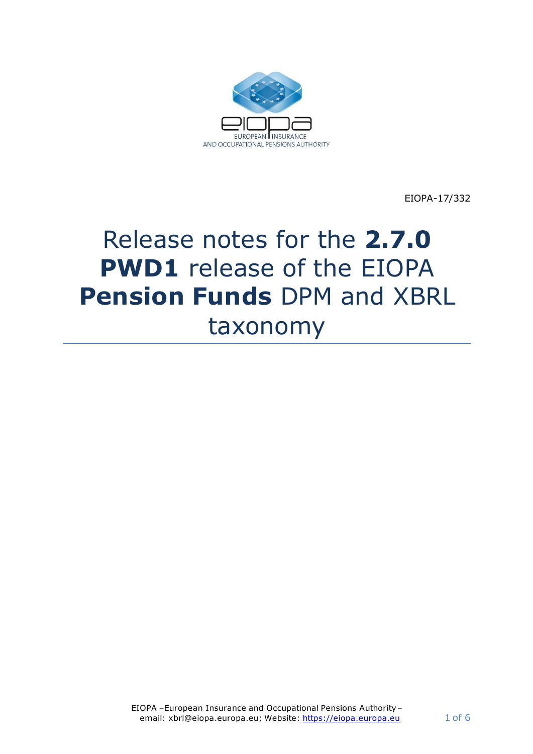

EIOPA-17/332

# Release notes for the **2.7.0 PWD1** release of the EIOPA **Pension Funds** DPM and XBRL taxonomy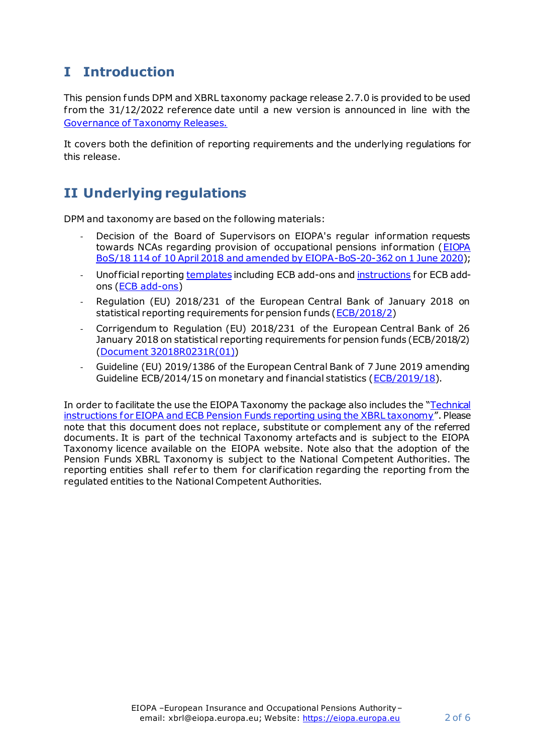## **I Introduction**

This pension funds DPM and XBRL taxonomy package release 2.7.0 is provided to be used f rom the 31/12/2022 reference date until a new version is announced in line with the [Governance of Taxonomy Releases](https://dev.eiopa.europa.eu/Taxonomy/Full/2.4.0_PWD/Common/EIOPA_Public_2019_2021_Taxonomy_Governance_and_Schedule.pdf).

It covers both the definition of reporting requirements and the underlying regulations for this release.

## **II Underlying regulations**

DPM and taxonomy are based on the following materials:

- Decision of the Board of Supervisors on EIOPA's regular information requests towards NCAs regarding provision of occupational pensions information (EIOPA [BoS/18 114 of 10 April 2018 and amended by EIOPA-BoS-20-362 on 1 June 2020\)](https://www.eiopa.europa.eu/content/decision-eiopas-regular-information-requests-towards-ncas-regarding-provision-occupational);
- Unof ficial reportin[g templates](https://www.ecb.europa.eu/stats/money/icpf/shared/pdf/Pension_Funds-Unofficial_reporting_templates_including_ECB_add-ons.xlsx?756def396c04c93a15bd30992ac829be) including ECB add-ons an[d instructions](https://www.ecb.europa.eu/stats/money/icpf/shared/pdf/Pension_Funds-Unofficial_reporting_templates_instructions_for_ECB_add-ons-final_V2.5.0.pdf?6a56f69e23dc1d0f947b4d72fb9a4b89) for ECB addons [\(ECB add-ons](https://www.ecb.europa.eu/stats/financial_corporations/pension_funds/html/index.en.html))
- Regulation (EU) 2018/231 of the European Central Bank of January 2018 on statistical reporting requirements for pension funds [\(ECB/2018/2](https://eur-lex.europa.eu/legal-content/EN/TXT/?uri=CELEX%3A02018R0231-20180217))
- Corrigendum to Regulation (EU) 2018/231 of the European Central Bank of 26 January 2018 on statistical reporting requirements for pension funds (ECB/2018/2) [\(Document 32018R0231R\(01\)](https://eur-lex.europa.eu/legal-content/EN/ALL/?uri=CELEX:32018R0231R(01)))
- Guideline (EU) 2019/1386 of the European Central Bank of 7 June 2019 amending Guideline ECB/2014/15 on monetary and financial statistics [\(ECB/2019/18](https://eur-lex.europa.eu/legal-content/EN/TXT/?uri=CELEX%3A32019O0018)).

In order to facilitate the use the EIOPA Taxonomy the package also includes the "[Technical](https://dev.eiopa.europa.eu/Taxonomy/Full/2.7.0_PWD1/PF/EIOPA_PensionFunds_Technical_Logs_2.7.0_PWD1.pdf)  [instructions for EIOPA and ECB Pension Funds reporting using the XBRL taxonomy](https://dev.eiopa.europa.eu/Taxonomy/Full/2.7.0_PWD1/PF/EIOPA_PensionFunds_Technical_Logs_2.7.0_PWD1.pdf)". Please note that this document does not replace, substitute or complement any of the referred documents. It is part of the technical Taxonomy artefacts and is subject to the EIOPA Taxonomy licence available on the EIOPA website. Note also that the adoption of the Pension Funds XBRL Taxonomy is subject to the National Competent Authorities. The reporting entities shall refer to them for clarification regarding the reporting from the regulated entities to the National Competent Authorities.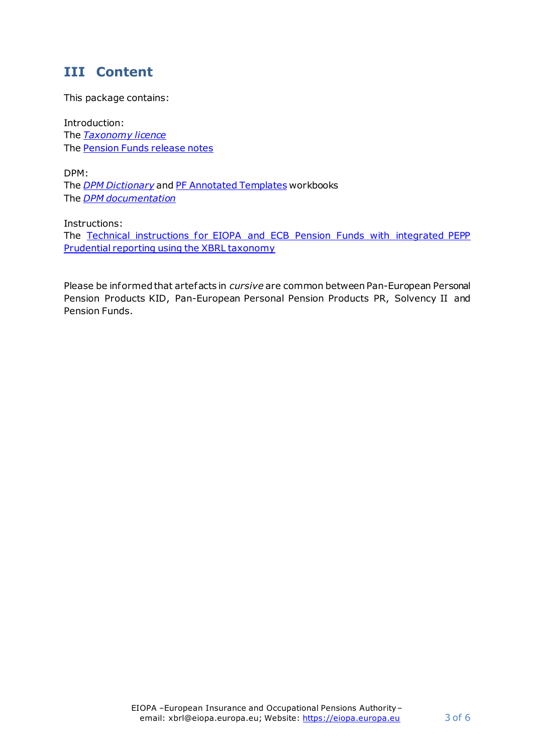#### **III Content**

This package contains:

Introduction: The *[Taxonomy licence](https://dev.eiopa.europa.eu/Taxonomy/Full/2.4.0/common/EIOPA_DPM_and_Taxonomy_License.pdf)* The [Pension Funds release notes](https://dev.eiopa.europa.eu/Taxonomy/Full/2.7.0_PWD1/PF/EIOPA_PensionFunds_Release_Notes_2.7.0_PWD1.pdf)

DPM: The *[DPM Dictionary](https://dev.eiopa.europa.eu/Taxonomy/Full/2.7.0_PWD1/Common/EIOPA_DPM_Dictionary_2.7.0_PWD1.xlsx)* an[d PF Annotated Templates](https://dev.eiopa.europa.eu/Taxonomy/Full/2.7.0_PWD1/PF/EIOPA_PensionFunds_DPM_Annotated_Templates_2.7.0_PWD1.xlsx) workbooks The *[DPM documentation](https://dev.eiopa.europa.eu/Taxonomy/Full/2.7.0_PWD1/Common/EIOPA_DPM_Documentation_2.7.0_PWD1.pdf)*

Instructions: The [Technical instructions for EIOPA and ECB Pension Funds with integrated PEPP](https://dev.eiopa.europa.eu/Taxonomy/Full/2.7.0_PWD1/PF/EIOPA_PensionFunds_Technical_Logs_2.7.0_PWD1.pdf)  Prudential reporting [using the XBRL taxonomy](https://dev.eiopa.europa.eu/Taxonomy/Full/2.7.0_PWD1/PF/EIOPA_PensionFunds_Technical_Logs_2.7.0_PWD1.pdf)

Please be informed that artefacts in *cursive* are common between Pan-European Personal Pension Products KID, Pan-European Personal Pension Products PR, Solvency II and Pension Funds.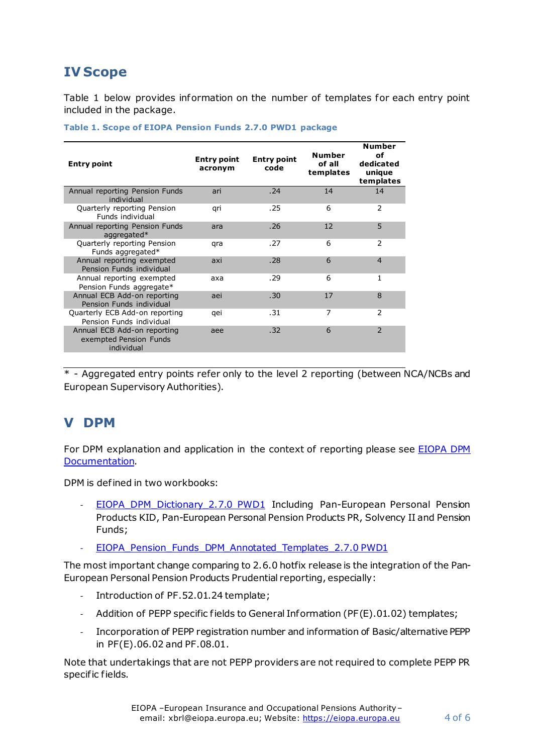### **IV Scope**

[Table 1](#page-3-0) below provides information on the number of templates for each entry point included in the package.

| <b>Entry point</b>                                                  | <b>Entry point</b><br>acronym | <b>Entry point</b><br>code | <b>Number</b><br>of all<br>templates | <b>Number</b><br>οf<br>dedicated<br>unique<br>templates |
|---------------------------------------------------------------------|-------------------------------|----------------------------|--------------------------------------|---------------------------------------------------------|
| Annual reporting Pension Funds<br>individual                        | ari                           | .74                        | 14                                   | 14                                                      |
| Quarterly reporting Pension<br>Funds individual                     | qri                           | .25                        | 6                                    | 2                                                       |
| Annual reporting Pension Funds<br>aggregated*                       | ara                           | .26                        | 12                                   | 5                                                       |
| Quarterly reporting Pension<br>Funds aggregated*                    | qra                           | .27                        | 6                                    | 2                                                       |
| Annual reporting exempted<br>Pension Funds individual               | axi                           | .28                        | 6                                    | $\overline{4}$                                          |
| Annual reporting exempted<br>Pension Funds aggregate*               | axa                           | .29                        | 6                                    | 1                                                       |
| Annual ECB Add-on reporting<br>Pension Funds individual             | aei                           | .30                        | 17                                   | 8                                                       |
| Quarterly ECB Add-on reporting<br>Pension Funds individual          | qei                           | . 31                       | 7                                    | 2                                                       |
| Annual ECB Add-on reporting<br>exempted Pension Funds<br>individual | aee                           | .32                        | 6                                    | $\overline{2}$                                          |

#### <span id="page-3-0"></span>**Table 1. Scope of EIOPA Pension Funds 2.7.0 PWD1 package**

\* - Aggregated entry points refer only to the level 2 reporting (between NCA/NCBs and European Supervisory Authorities).

#### **V DPM**

For DPM explanation and application in the context of reporting please see [EIOPA](https://dev.eiopa.europa.eu/Taxonomy/Full/2.7.0_PWD1/Common/EIOPA_DPM_Documentation_2.7.0_PWD1.pdf) DPM [Documentation](https://dev.eiopa.europa.eu/Taxonomy/Full/2.7.0_PWD1/Common/EIOPA_DPM_Documentation_2.7.0_PWD1.pdf).

DPM is defined in two workbooks:

- [EIOPA\\_DPM\\_Dictionary\\_2.7.0](https://dev.eiopa.europa.eu/Taxonomy/Full/2.7.0_PWD1/Common/EIOPA_DPM_Dictionary_2.7.0_PWD1.xlsx) PWD1 Including Pan-European Personal Pension Products KID, Pan-European Personal Pension Products PR, Solvency II and Pension Funds;
- EIOPA Pension Funds DPM Annotated Templates 2.7.0 PWD1

The most important change comparing to 2.6.0 hotfix release is the integration of the Pan-European Personal Pension Products Prudential reporting, especially:

- Introduction of PF.52.01.24 template;
- Addition of PEPP specific fields to General Information (PF(E).01.02) templates;
- Incorporation of PEPP registration number and information of Basic/alternative PEPP in PF(E).06.02 and PF.08.01.

Note that undertakings that are not PEPP providers are not required to complete PEPP PR specific fields.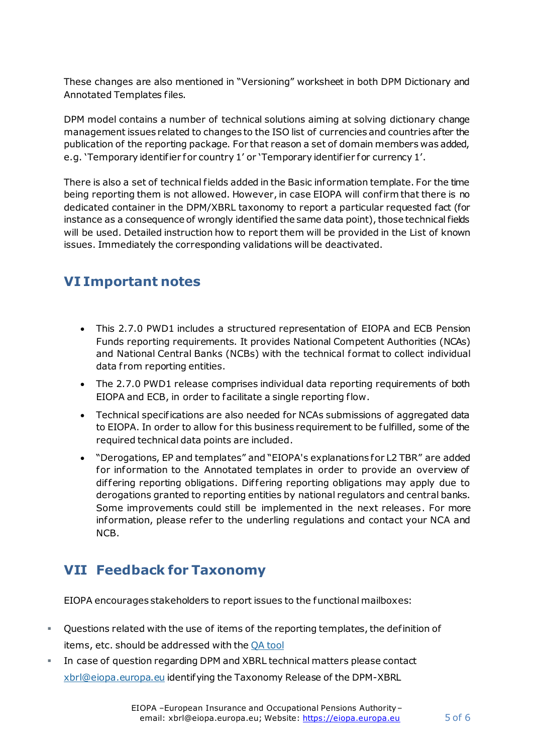These changes are also mentioned in "Versioning" worksheet in both DPM Dictionary and Annotated Templates files.

DPM model contains a number of technical solutions aiming at solving dictionary change management issues related to changes to the ISO list of currencies and countries after the publication of the reporting package. For that reason a set of domain members was added, e.g. 'Temporary identifier for country 1' or 'Temporary identifier for currency 1'.

There is also a set of technical fields added in the Basic information template. For the time being reporting them is not allowed. However, in case EIOPA will confirm that there is no dedicated container in the DPM/XBRL taxonomy to report a particular requested fact (for instance as a consequence of wrongly identified the same data point), those technical fields will be used. Detailed instruction how to report them will be provided in the List of known issues. Immediately the corresponding validations will be deactivated.

## **VI Important notes**

- This 2.7.0 PWD1 includes a structured representation of EIOPA and ECB Pension Funds reporting requirements. It provides National Competent Authorities (NCAs) and National Central Banks (NCBs) with the technical format to collect individual data from reporting entities.
- The 2.7.0 PWD1 release comprises individual data reporting requirements of both EIOPA and ECB, in order to facilitate a single reporting flow.
- Technical specifications are also needed for NCAs submissions of aggregated data to EIOPA. In order to allow for this business requirement to be fulfilled, some of the required technical data points are included.
- "Derogations, EP and templates" and "EIOPA's explanations for L2 TBR" are added for information to the Annotated templates in order to provide an overview of dif fering reporting obligations. Dif fering reporting obligations may apply due to derogations granted to reporting entities by national regulators and central banks. Some improvements could still be implemented in the next releases. For more information, please refer to the underling regulations and contact your NCA and NCB.

## **VII Feedback for Taxonomy**

EIOPA encourages stakeholders to report issues to the functional mailboxes:

- Questions related with the use of items of the reporting templates, the definition of items, etc. should be addressed with the [QA tool](https://eiopa.europa.eu/regulation-supervision/q-a-on-regulation)
- In case of question regarding DPM and XBRL technical matters please contact [xbrl@eiopa.europa.eu](mailto:xbrl@eiopa.europa.eu) identifying the Taxonomy Release of the DPM-XBRL